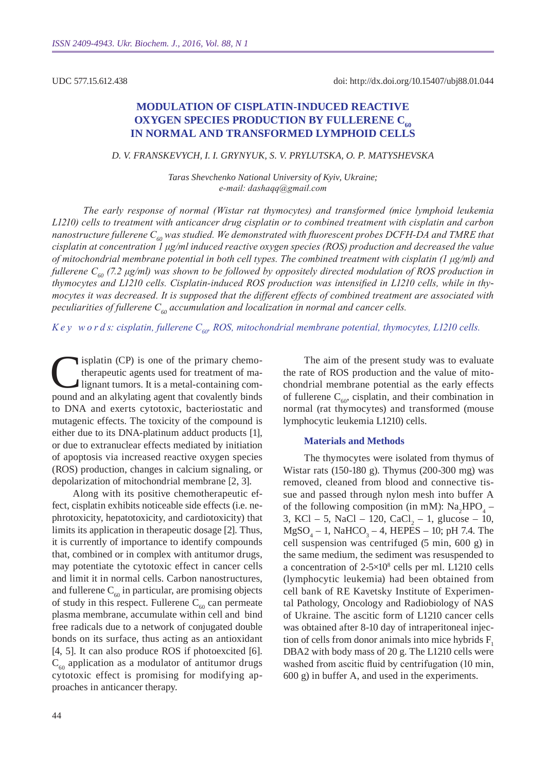UDC 577.15.612.438

# **Modulation of cisplatin-induced reactive OXYGEN SPECIES PRODUCTION BY FULLERENE C<sub>60</sub> in normal and transformed lymphoid cells**

### *D. V. Frans kevych, I. I. Grynyuk, S. V. Prylutska, O. P. Matyshevs ka*

*Taras Shevchenko National University of Kyiv, Ukraine; е-mail: dashaqq@gmail.com*

*The early response of normal (Wistar rat thymocytes) and transformed (mice lymphoid leukemia L1210) cells to treatment with anticancer drug cisplatin or to combined treatment with cisplatin and carbon nanostructure fullerene C60 was studied. We demonstrated with fluorescent probes DCFH-DA and TMRE that cisplatin at concentration 1 μg/ml induced reactive oxygen species (ROS) production and decreased the value of mitochondrial membrane potential in both cell types. The combined treatment with cisplatin (1 μg/ml) and fullerene C60 (7.2 μg/ml) was shown to be followed by oppositely directed modulation of ROS production in thymocytes and L1210 cells. Cisplatin-induced ROS production was intensified in L1210 cells, while in thymocytes it was decreased. It is supposed that the different effects of combined treatment are associated with peculiarities of fullerene C60 accumulation and localization in normal and cancer cells.*

*K e y w o r d s: cisplatin, fullerene C60, ROS, mitochondrial membrane potential, thymocytes, L1210 cells.*

isplatin (CP) is one of the primary chemotherapeutic agents used for treatment of malignant tumors. It is a metal-containing compound and an alkylating agent that covalently binds to DNA and exerts cytotoxic, bacteriostatic and mutagenic effects. The toxicity of the compound is either due to its DNA-platinum adduct products [1], or due to extranuclear effects mediated by initiation of apoptosis via increased reactive oxygen species (ROS) production, changes in calcium signaling, or depolarization of mitochondrial membrane [2, 3].

Along with its positive chemotherapeutic effect, cisplatin exhibits noticeable side effects (i.e. nephrotoxicity, hepatotoxicity, and cardiotoxicity) that limits its application in therapeutic dosage [2]. Thus, it is currently of importance to identify compounds that, combined or in complex with antitumor drugs, may potentiate the cytotoxic effect in cancer cells and limit it in normal cells. Carbon nanostructures, and fullerene  $C_{60}$  in particular, are promising objects of study in this respect. Fullerene  $C_{60}$  can permeate plasma membrane, accumulate within cell and bind free radicals due to a network of conjugated double bonds on its surface, thus acting as an antioxidant [4, 5]. It can also produce ROS if photoexcited [6].  $C_{60}$  application as a modulator of antitumor drugs cytotoxic effect is promising for modifying approaches in anticancer therapy.

The aim of the present study was to evaluate the rate of ROS production and the value of mitochondrial membrane potential as the early effects of fullerene  $C_{60}$ , cisplatin, and their combination in normal (rat thymocytes) and transformed (mouse lymphocytic leukemia L1210) cells.

#### **Materials and Methods**

The thymocytes were isolated from thymus of Wistar rats (150-180 g). Thymus (200-300 mg) was removed, cleaned from blood and connective tissue and passed through nylon mesh into buffer A of the following composition (in mM):  $Na<sub>2</sub>HPO<sub>4</sub> -$ 3, KCl – 5, NaCl – 120, CaCl<sub>2</sub> – 1, glucose – 10,  $MgSO<sub>4</sub> - 1$ , NaHCO<sub>3</sub> – 4, HEPES – 10; pH 7.4. The cell suspension was centrifuged (5 min, 600 g) in the same medium, the sediment was resuspended to a concentration of 2-5×10<sup>8</sup> cells per ml. L1210 cells (lymphocytic leukemia) had been obtained from cell bank of RE Kavetsky Institute of Experimental Pathology, Oncology and Radiobiology of NAS of Ukraine. The ascitic form of L1210 cancer cells was obtained after 8-10 day of intraperitoneal injection of cells from donor animals into mice hybrids  $F<sub>1</sub>$ DBA2 with body mass of 20 g. The L1210 cells were washed from ascitic fluid by centrifugation (10 min, 600 g) in buffer A, and used in the experiments.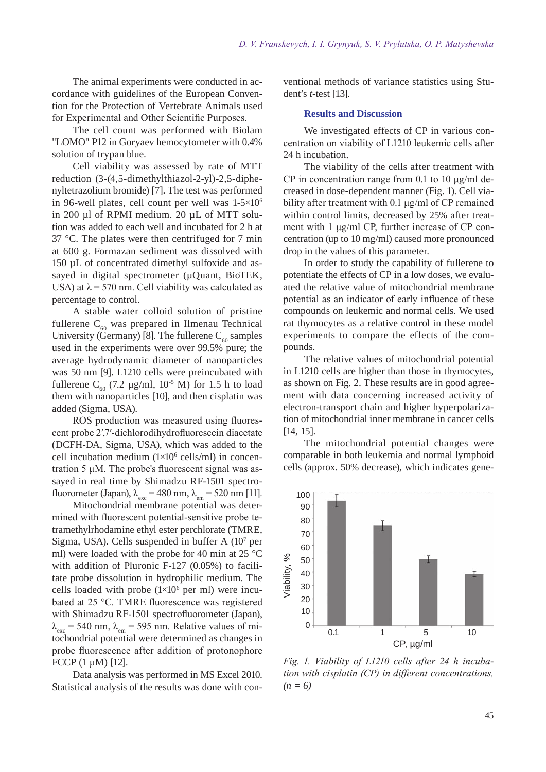The animal experiments were conducted in accordance with guidelines of the European Convention for the Protection of Vertebrate Animals used for Experimental and Other Scientific Purposes.

The cell count was performed with Biolam "LOMO" P12 in Goryaev hemocytometer with 0.4% solution of trypan blue.

Cell viability was assessed by rate of MTT reduction (3-(4,5-dimethylthiazol-2-yl)-2,5-diphenyltetrazolium bromide) [7]. The test was performed in 96-well plates, cell count per well was  $1-5\times10^{6}$ in 200 µl of RPMI medium. 20 µL of MTT solution was added to each well and incubated for 2 h at 37 °C. The plates were then centrifuged for 7 min at 600 g. Formazan sediment was dissolved with 150 µL of concentrated dimethyl sulfoxide and assayed in digital spectrometer (µQuant, BioTEK, USA) at  $\lambda$  = 570 nm. Cell viability was calculated as percentage to control.

A stable water colloid solution of pristine fullerene  $C_{60}$  was prepared in Ilmenau Technical University (Germany) [8]. The fullerene  $C_{60}$  samples used in the experiments were over 99.5% pure; the average hydrodynamic diameter of nanoparticles was 50 nm [9]. L1210 cells were preincubated with fullerene C<sub>60</sub> (7.2 µg/ml, 10<sup>-5</sup> M) for 1.5 h to load them with nanoparticles [10], and then cisplatin was added (Sigma, USA).

ROS production was measured using fluorescent probe 2′,7′-dichlorodihydrofluorescein diacetate (DCFH-DA, Sigma, USA), which was added to the cell incubation medium  $(1\times10^6 \text{ cells/ml})$  in concentration 5 μM. The probe's fluorescent signal was assayed in real time by Shimadzu RF-1501 spectrofluorometer (Japan),  $\lambda_{\text{exc}} = 480 \text{ nm}$ ,  $\lambda_{\text{em}} = 520 \text{ nm}$  [11].

Mitochondrial membrane potential was determined with fluorescent potential-sensitive probe tetramethylrhodamine ethyl ester perchlorate (TMRE, Sigma, USA). Cells suspended in buffer A (10<sup>7</sup> per ml) were loaded with the probe for 40 min at 25 °C with addition of Pluronic F-127 (0.05%) to facilitate probe dissolution in hydrophilic medium. The cells loaded with probe  $(1\times10^6$  per ml) were incubated at 25 °C. TMRE fluorescence was registered with Shimadzu RF-1501 spectrofluorometer (Japan),  $\lambda_{\text{exc}}$  = 540 nm,  $\lambda_{\text{em}}$  = 595 nm. Relative values of mitochondrial potential were determined as changes in probe fluorescence after addition of protonophore FCCP (1 µM) [12].

Data analysis was performed in MS Excel 2010. Statistical analysis of the results was done with conventional methods of variance statistics using Student's *t*-test [13].

#### **Results and Discussion**

We investigated effects of CP in various concentration on viability of L1210 leukemiс cells after 24 h incubation.

The viability of the cells after treatment with CP in concentration range from 0.1 to 10  $\mu$ g/ml decreased in dose-dependent manner (Fig. 1). Cell viability after treatment with 0.1 μg/ml of CP remained within control limits, decreased by 25% after treatment with 1 μg/ml CP, further increase of CP concentration (up to 10 mg/ml) caused more pronounced drop in the values of this parameter.

In order to study the capability of fullerene to potentiate the effects of CP in a low doses, we evaluated the relative value of mitochondrial membrane potential as an indicator of early influence of these compounds on leukemic and normal cells. We used rat thymocytes as a relative control in these model experiments to compare the effects of the compounds.

The relative values of mitochondrial potential in L1210 cells are higher than those in thymocytes, as shown on Fig. 2. These results are in good agreement with data concerning increased activity of electron-transport chain and higher hyperpolarization of mitochondrial inner membrane in cancer cells [14, 15].

The mitochondrial potential changes were comparable in both leukemia and normal lymphoid cells (approx. 50% decrease), which indicates gene-



*Fig. 1. Viability of L1210 cells after 24 h incubation with cisplatin (CP) in different concentrations,*   $(n = 6)$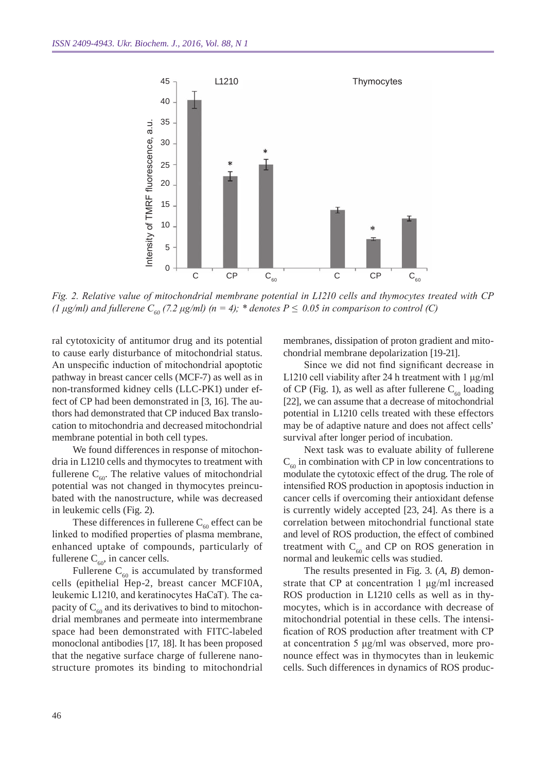

*Fig. 2. Relative value of mitochondrial membrane potential in L1210 cells and thymocytes treated with CP (1 μg/ml)* and fullerene  $C_{60}$  (7.2 μg/ml) (n = 4); \* denotes  $P \le 0.05$  in comparison to control (C)

ral cytotoxicity of antitumor drug and its potential to cause early disturbance of mitochondrial status. An unspecific induction of mitochondrial apoptotic pathway in breast cancer cells (MCF-7) as well as in non-transformed kidney cells (LLC-PK1) under effect of CP had been demonstrated in [3, 16]. The authors had demonstrated that CP induced Bax translocation to mitochondria and decreased mitochondrial membrane potential in both cell types.

We found differences in response of mitochondria in L1210 cells and thymocytes to treatment with fullerene  $C_{60}$ . The relative values of mitochondrial potential was not changed in thymocytes preincubated with the nanostructure, while was decreased in leukemic cells (Fig. 2).

These differences in fullerene  $C_{60}$  effect can be linked to modified properties of plasma membrane, enhanced uptake of compounds, particularly of fullerene  $C_{60}$ , in cancer cells.

Fullerene  $C_{60}$  is accumulated by transformed cells (epithelial Hep-2, breast cancer MCF10A, leukemiс L1210, and keratinocytes HaCaT). The capacity of  $C_{60}$  and its derivatives to bind to mitochondrial membranes and permeate into intermembrane space had been demonstrated with FITC-labeled monoclonal antibodies [17, 18]. It has been proposed that the negative surface charge of fullerene nanostructure promotes its binding to mitochondrial

membranes, dissipation of proton gradient and mitochondrial membrane depolarization [19-21].

Since we did not find significant decrease in L1210 cell viability after 24 h treatment with 1 μg/ml of CP (Fig. 1), as well as after fullerene  $C_{60}$  loading [22], we can assume that a decrease of mitochondrial potential in L1210 cells treated with these effectors may be of adaptive nature and does not affect cells' survival after longer period of incubation.

Next task was to evaluate ability of fullerene  $C_{60}$  in combination with CP in low concentrations to modulate the cytotoxic effect of the drug. The role of intensified ROS production in apoptosis induction in cancer cells if overcoming their antioxidant defense is currently widely accepted [23, 24]. As there is a correlation between mitochondrial functional state and level of ROS production, the effect of combined treatment with  $C_{60}$  and CP on ROS generation in normal and leukemic cells was studied.

The results presented in Fig. 3. (*A*, *B*) demonstrate that CP at concentration 1 μg/ml increased ROS production in L1210 cells as well as in thymocytes, which is in accordance with decrease of mitochondrial potential in these cells. The intensification of ROS production after treatment with CP at concentration 5 μg/ml was observed, more pronounce effect was in thymocytes than in leukemic cells. Such differences in dynamics of ROS produc-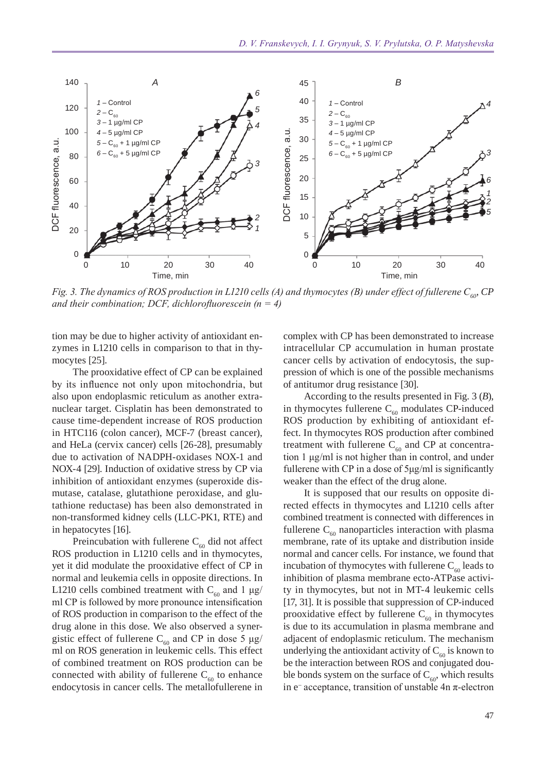

*Fig. 3. The dynamics of ROS production in L1210 cells (A) and thymocytes (B) under effect of fullerene C<sub>60</sub><sup><i>CP*</sup> *and their combination; DCF, dichlorofluorescein (n = 4)*

tion may be due to higher activity of antioxidant enzymes in L1210 cells in comparison to that in thymocytes [25].

The prooxidative effect of CP can be explained by its influence not only upon mitochondria, but also upon endoplasmic reticulum as another extranuclear target. Cisplatin has been demonstrated to cause time-dependent increase of ROS production in HTC116 (colon cancer), MCF-7 (breast cancer), and HeLa (cervix cancer) cells [26-28], presumably due to activation of NADPH-oxidases NOX-1 and NOX-4 [29]. Induction of oxidative stress by CP via inhibition of antioxidant enzymes (superoxide dismutase, catalase, glutathione peroxidase, and glutathione reductase) has been also demonstrated in non-transformed kidney cells (LLC-PK1, RTE) and in hepatocytes [16].

Preincubation with fullerene  $C_{60}$  did not affect ROS production in L1210 cells and in thymocytes, yet it did modulate the prooxidative effect of CP in normal and leukemia cells in opposite directions. In L1210 cells combined treatment with  $C_{60}$  and 1  $\mu$ g/ ml CP is followed by more pronounce intensification of ROS production in comparison to the effect of the drug alone in this dose. We also observed a synergistic effect of fullerene  $C_{60}$  and CP in dose 5  $\mu$ g/ ml on ROS generation in leukemic cells. This effect of combined treatment on ROS production can be connected with ability of fullerene  $C_{60}$  to enhance endocytosis in cancer cells. The metallofullerene in complex with CP has been demonstrated to increase intracellular CP accumulation in human prostate cancer cells by activation of endocytosis, the suppression of which is one of the possible mechanisms of antitumor drug resistance [30].

According to the results presented in Fig. 3 (*B*), in thymocytes fullerene  $C_{60}$  modulates CP-induced ROS production by exhibiting of antioxidant effect. In thymocytes ROS production after combined treatment with fullerene  $C_{60}$  and CP at concentration 1 μg/ml is not higher than in control, and under fullerene with CP in a dose of 5μg/ml is significantly weaker than the effect of the drug alone.

It is supposed that our results on opposite directed effects in thymocytes and L1210 cells after combined treatment is connected with differences in fullerene  $C_{60}$  nanoparticles interaction with plasma membrane, rate of its uptake and distribution inside normal and cancer cells. For instance, we found that incubation of thymocytes with fullerene  $C_{60}$  leads to inhibition of plasma membrane ecto-ATPase activity in thymocytes, but not in MT-4 leukemic cells [17, 31]. It is possible that suppression of CP-induced prooxidative effect by fullerene  $C_{60}$  in thymocytes is due to its accumulation in plasma membrane and adjacent of endoplasmic reticulum. The mechanism underlying the antioxidant activity of  $C_{60}$  is known to be the interaction between ROS and conjugated double bonds system on the surface of  $C_{60}$ , which results in  $e^-$  acceptance, transition of unstable 4n  $\pi$ -electron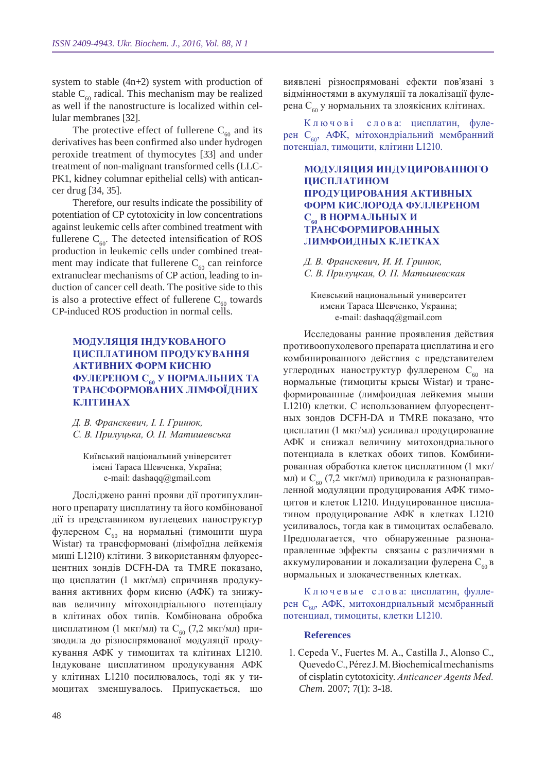system to stable (4n+2) system with production of stable  $C_{60}$  radical. This mechanism may be realized as well if the nanostructure is localized within cellular membranes [32].

The protective effect of fullerene  $C_{60}$  and its derivatives has been confirmed also under hydrogen peroxide treatment of thymocytes [33] and under treatment of non-malignant transformed cells (LLC-PK1, kidney columnar epithelial cells) with anticancer drug [34, 35].

Therefore, our results indicate the possibility of potentiation of CP cytotoxicity in low concentrations against leukemic cells after combined treatment with fullerene  $C_{60}$ . The detected intensification of ROS production in leukemic cells under combined treatment may indicate that fullerene  $C_{60}$  can reinforce extranuclear mechanisms of CP action, leading to induction of cancer cell death. The positive side to this is also a protective effect of fullerene  $C_{\epsilon 0}$  towards CP-induced ROS production in normal cells.

## **Модуляція індукованого цисплатином продукування активних форм кисню фулереном С60 у нормальних та трансформованих лімфоїдних клітинах**

*Д. В. Франскевич, І. І. Гринюк, С. В. Прилуцька, О. П. Матишевська* 

Київський національний університет імені Тараса Шевченка, Україна; e-mail: dashaqq@gmail.com

Досліджено ранні прояви дії протипухлинного препарату цисплатину та його комбінованої дії із представником вуглецевих наноструктур фулереном С<sub>60</sub> на нормальні (тимоцити щура Wistar) та трансформовані (лімфоїдна лейкемія миші L1210) клітини. З використанням флуоресцентних зондів DCFH-DA та TMRE показано, що цисплатин (1 мкг/мл) спричиняв продукування активних форм кисню (АФК) та знижував величину мітохондріального потенціалу в клітинах обох типів. Комбінована обробка цисплатином (1 мкг/мл) та  $C_{60}$  (7,2 мкг/мл) призводила до різноспрямованої модуляції продукування АФК у тимоцитах та клітинах L1210. Індуковане цисплатином продукування АФК у клітинах L1210 посилювалось, тоді як у тимоцитах зменшувалось. Припускається, що

виявлені різноспрямовані ефекти пов'язані з відмінностями в акумуляції та локалізації фулерена С<sub>60</sub> у нормальних та злоякісних клітинах.

К л ю ч о в і с л о в а: цисплатин, фулерен С<sub>602</sub> АФК, мітохондріальний мембранний потенціал, тимоцити, клітини L1210.

### **Модуляция индуцированного цисплатином продуцирования активных форм кислорода фуллереном С60 в нормальных и трансформированных лимфоидных клетках**

*Д. В. Франскевич, И. И. Гринюк, С. В. Прилуцкая, О. П. Матышевская*

Киевський национальный университет имени Тараса Шевченко, Украина; e-mail: dashaqq@gmail.com

Исследованы ранние проявления действия противоопухолевого препарата цисплатина и его комбинированного действия с представителем углеродных наноструктур фуллереном С<sub>60</sub> на нормальные (тимоциты крысы Wistar) и трансформированные (лимфоидная лейкемия мыши L1210) клетки. С использованием флуоресцентных зондов DCFH-DA и TMRE показано, что цисплатин (1 мкг/мл) усиливал продуцирование АФК и снижал величину митохондриального потенциала в клетках обоих типов. Комбинированная обработка клеток цисплатином (1 мкг/ мл) и С<sub>60</sub> (7,2 мкг/мл) приводила к разнонаправленной модуляции продуцирования АФК тимоцитов и клеток L1210. Индуцированное цисплатином продуцирование АФК в клетках L1210 усиливалось, тогда как в тимоцитах ослабевало. Предполагается, что обнаруженные разнонаправленные эффекты связаны с различиями в аккумулировании и локализации фулерена С<sub>60</sub> в нормальных и злокачественных клетках.

К л ю ч е в ы е с л о в а: цисплатин, фуллерен С<sub>60</sub>, АФК, митохондриальный мембранный потенциал, тимоциты, клетки L1210.

#### **References**

1. Cepeda V., Fuertes M. A., Castilla J., Alonso C., Quevedo C., Pérez J. M. Biochemical mechanisms of cisplatin cytotoxicity. *Anticancer Agents Med. Chem.* 2007; 7(1): 3-18.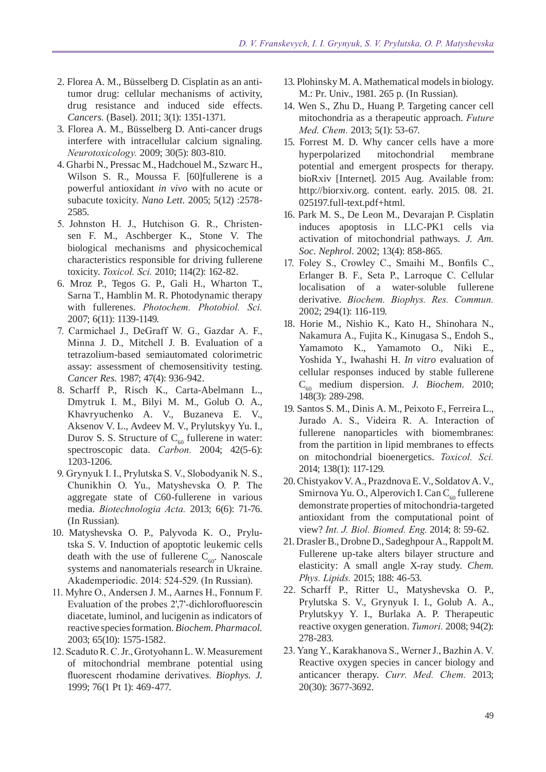- 2. Florea A. M., Büsselberg D. Cisplatin as an antitumor drug: cellular mechanisms of activity, drug resistance and induced side effects. *Cancers.* (Basel). 2011; 3(1): 1351-1371.
- 3. Florea A. M., Büsselberg D. Anti-cancer drugs interfere with intracellular calcium signaling. *Neurotoxicology.* 2009; 30(5): 803-810.
- 4. Gharbi N., Pressac M., Hadchouel M., Szwarc H., Wilson S. R., Moussa F. [60]fullerene is a powerful antioxidant *in vivo* with no acute or subacute toxicity. *Nano Lett.* 2005; 5(12) :2578- 2585.
- 5. Johnston H. J., Hutchison G. R., Christensen F. M., Aschberger K., Stone V. The biological mechanisms and physicochemical characteristics responsible for driving fullerene toxicity. *Toxicol. Sci.* 2010; 114(2): 162-82.
- 6. Mroz P., Tegos G. P., Gali H., Wharton T., Sarna T., Hamblin M. R. Photodynamic therapy with fullerenes. *Photochem. Photobiol. Sci.* 2007; 6(11): 1139-1149.
- 7. Carmichael J., DeGraff W. G., Gazdar A. F., Minna J. D., Mitchell J. B. Evaluation of a tetrazolium-based semiautomated colorimetric assay: assessment of chemosensitivity testing. *Cancer Res.* 1987; 47(4): 936-942.
- 8. Scharff P., Risch K., Carta-Abelmann L., Dmytruk I. M., Bilyi M. M., Golub O. A., Khavryuchenko A. V., Buzaneva E. V., Aksenov V. L., Avdeev M. V., Prylutskyy Yu. I., Durov S. S. Structure of  $C_{60}$  fullerene in water: spectroscopic data. *Carbon.* 2004; 42(5-6): 1203-1206.
- 9. Grynyuk І. І., Prylutska S. V., Slobodyanik N. S., Chunikhin О. Yu., Matyshevska О. P. The aggregate state of C60-fullerene in various media. *Biotechnologia Acta.* 2013; 6(6): 71-76. (In Russian).
- 10. Matyshevska O. P., Palyvoda K. O., Prylutska S. V. Induction of apoptotic leukemic cells death with the use of fullerene  $C_{60}$ . Nanoscale systems and nanomaterials research in Ukraine. Akademperiodiс. 2014: 524-529. (In Russian).
- 11. Myhre O., Andersen J. M., Aarnes H., Fonnum F. Evaluation of the probes 2',7'-dichlorofluorescin diacetate, luminol, and lucigenin as indicators of reactive species formation. *Biochem. Pharmacol.*  2003; 65(10): 1575-1582.
- 12. Scaduto R. C. Jr., Grotyohann L. W. Measurement of mitochondrial membrane potential using fluorescent rhodamine derivatives. *Biophys. J.*  1999; 76(1 Pt 1): 469-477.
- 13. Plohinsky M. A. Mathematical models in biology. M.: Pr. Univ., 1981. 265 p. (In Russian).
- 14. Wen S., Zhu D., Huang P. Targeting cancer cell mitochondria as a therapeutic approach. *Future Med. Chem.* 2013; 5(1): 53-67.
- 15. Forrest M. D. Why cancer cells have a more hyperpolarized mitochondrial membrane potential and emergent prospects for therapy. bioRxiv [Internet]. 2015 Aug. Available from: http://biorxiv.org. content. early. 2015. 08. 21. 025197.full-text.pdf+html.
- 16. Park M. S., De Leon M., Devarajan P. Cisplatin induces apoptosis in LLC-PK1 cells via activation of mitochondrial pathways. *J. Am. Soc. Nephrol.* 2002; 13(4): 858-865.
- 17. Foley S., Crowley C., Smaihi M., Bonfils C., Erlanger B. F., Seta P., Larroque C. Cellular localisation of a water-soluble fullerene derivative. *Biochem. Biophys. Res. Commun.* 2002; 294(1): 116-119.
- 18. Horie M., Nishio K., Kato H., Shinohara N., Nakamura A., Fujita K., Kinugasa S., Endoh S., Yamamoto K., Yamamoto O., Niki E., Yoshida Y., Iwahashi H. *In vitro* evaluation of cellular responses induced by stable fullerene C60 medium dispersion. *J. Biochem.* 2010; 148(3): 289-298.
- 19. Santos S. M., Dinis A. M., Peixoto F., Ferreira L., Jurado A. S., Videira R. A. Interaction of fullerene nanoparticles with biomembranes: from the partition in lipid membranes to effects on mitochondrial bioenergetics. *Toxicol. Sci.* 2014; 138(1): 117-129.
- 20. Chistyakov V. A., Prazdnova E. V., Soldatov A. V., Smirnova Yu. O., Alperovich I. Can  $C_{60}$  fullerene demonstrate properties of mitochondria-targeted antioxidant from the computational point of view? *Int. J. Biol. Biomed. Eng.* 2014; 8: 59-62.
- 21. Drasler B., Drobne D., Sadeghpour A., RappoltM. Fullerene up-take alters bilayer structure and elasticity: A small angle X-ray study. *Chem. Phys. Lipids.* 2015; 188: 46-53.
- 22. Scharff P., Ritter U., Matyshevska O. P., Prylutska S. V., Grynyuk I. I., Golub A. A., Prylutskyy Y. I., Burlaka A. P. Therapeutic reactive oxygen generation. *Tumori.* 2008; 94(2): 278-283.
- 23. Yang Y., Karakhanova S., Werner J., Bazhin A. V. Reactive oxygen species in cancer biology and anticancer therapy. *Curr. Med. Chem.* 2013; 20(30): 3677-3692.